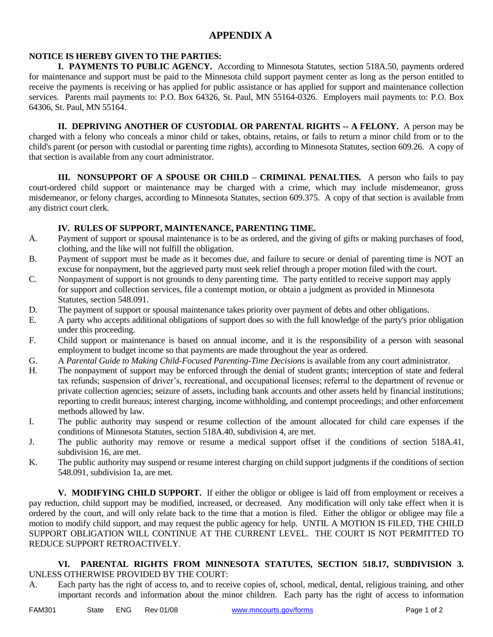## **APPENDIX A**

## **NOTICE IS HEREBY GIVEN TO THE PARTIES:**

**I. PAYMENTS TO PUBLIC AGENCY.** According to Minnesota Statutes, section 518A.50, payments ordered for maintenance and support must be paid to the Minnesota child support payment center as long as the person entitled to receive the payments is receiving or has applied for public assistance or has applied for support and maintenance collection services. Parents mail payments to: P.O. Box 64326, St. Paul, MN 55164-0326. Employers mail payments to: P.O. Box 64306, St. Paul, MN 55164.

**II. DEPRIVING ANOTHER OF CUSTODIAL OR PARENTAL RIGHTS -- A FELONY.** A person may be charged with a felony who conceals a minor child or takes, obtains, retains, or fails to return a minor child from or to the child's parent (or person with custodial or parenting time rights), according to Minnesota Statutes, section 609.26. A copy of that section is available from any court administrator.

**III. NONSUPPORT OF A SPOUSE OR CHILD – CRIMINAL PENALTIES.** A person who fails to pay court-ordered child support or maintenance may be charged with a crime, which may include misdemeanor, gross misdemeanor, or felony charges, according to Minnesota Statutes, section 609.375. A copy of that section is available from any district court clerk.

## **IV. RULES OF SUPPORT, MAINTENANCE, PARENTING TIME.**

- A. Payment of support or spousal maintenance is to be as ordered, and the giving of gifts or making purchases of food, clothing, and the like will not fulfill the obligation.
- B. Payment of support must be made as it becomes due, and failure to secure or denial of parenting time is NOT an excuse for nonpayment, but the aggrieved party must seek relief through a proper motion filed with the court.
- C. Nonpayment of support is not grounds to deny parenting time. The party entitled to receive support may apply for support and collection services, file a contempt motion, or obtain a judgment as provided in Minnesota Statutes, section 548.091.
- D. The payment of support or spousal maintenance takes priority over payment of debts and other obligations.
- E. A party who accepts additional obligations of support does so with the full knowledge of the party's prior obligation under this proceeding.
- F. Child support or maintenance is based on annual income, and it is the responsibility of a person with seasonal employment to budget income so that payments are made throughout the year as ordered.
- G. A *Parental Guide to Making Child-Focused Parenting-Time Decisions* is available from any court administrator.
- H. The nonpayment of support may be enforced through the denial of student grants; interception of state and federal tax refunds; suspension of driver's, recreational, and occupational licenses; referral to the department of revenue or private collection agencies; seizure of assets, including bank accounts and other assets held by financial institutions; reporting to credit bureaus; interest charging, income withholding, and contempt proceedings; and other enforcement methods allowed by law.
- I. The public authority may suspend or resume collection of the amount allocated for child care expenses if the conditions of Minnesota Statutes, section 518A.40, subdivision 4, are met.
- J. The public authority may remove or resume a medical support offset if the conditions of section 518A.41, subdivision 16, are met.
- K. The public authority may suspend or resume interest charging on child support judgments if the conditions of section 548.091, subdivision 1a, are met.

**V. MODIFYING CHILD SUPPORT.** If either the obligor or obligee is laid off from employment or receives a pay reduction, child support may be modified, increased, or decreased. Any modification will only take effect when it is ordered by the court, and will only relate back to the time that a motion is filed. Either the obligor or obligee may file a motion to modify child support, and may request the public agency for help. UNTIL A MOTION IS FILED, THE CHILD SUPPORT OBLIGATION WILL CONTINUE AT THE CURRENT LEVEL. THE COURT IS NOT PERMITTED TO REDUCE SUPPORT RETROACTIVELY.

## **VI. PARENTAL RIGHTS FROM MINNESOTA STATUTES, SECTION 518.17, SUBDIVISION 3.** UNLESS OTHERWISE PROVIDED BY THE COURT:

A. Each party has the right of access to, and to receive copies of, school, medical, dental, religious training, and other important records and information about the minor children. Each party has the right of access to information